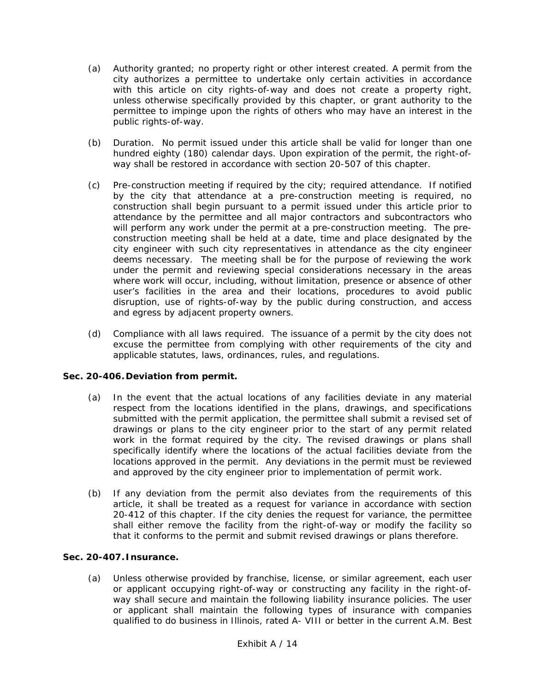- (a) Authority granted; no property right or other interest created. A permit from the city authorizes a permittee to undertake only certain activities in accordance with this article on city rights-of-way and does not create a property right, unless otherwise specifically provided by this chapter, or grant authority to the permittee to impinge upon the rights of others who may have an interest in the public rights-of-way.
- (b) Duration. No permit issued under this article shall be valid for longer than one hundred eighty (180) calendar days. Upon expiration of the permit, the right-ofway shall be restored in accordance with section 20-507 of this chapter.
- (c) Pre-construction meeting if required by the city; required attendance. If notified by the city that attendance at a pre-construction meeting is required, no construction shall begin pursuant to a permit issued under this article prior to attendance by the permittee and all major contractors and subcontractors who will perform any work under the permit at a pre-construction meeting. The preconstruction meeting shall be held at a date, time and place designated by the city engineer with such city representatives in attendance as the city engineer deems necessary. The meeting shall be for the purpose of reviewing the work under the permit and reviewing special considerations necessary in the areas where work will occur, including, without limitation, presence or absence of other user's facilities in the area and their locations, procedures to avoid public disruption, use of rights-of-way by the public during construction, and access and egress by adjacent property owners.
- (d) Compliance with all laws required. The issuance of a permit by the city does not excuse the permittee from complying with other requirements of the city and applicable statutes, laws, ordinances, rules, and regulations.

### **Sec. 20-406.Deviation from permit.**

- (a) In the event that the actual locations of any facilities deviate in any material respect from the locations identified in the plans, drawings, and specifications submitted with the permit application, the permittee shall submit a revised set of drawings or plans to the city engineer prior to the start of any permit related work in the format required by the city. The revised drawings or plans shall specifically identify where the locations of the actual facilities deviate from the locations approved in the permit. Any deviations in the permit must be reviewed and approved by the city engineer prior to implementation of permit work.
- (b) If any deviation from the permit also deviates from the requirements of this article, it shall be treated as a request for variance in accordance with section 20-412 of this chapter. If the city denies the request for variance, the permittee shall either remove the facility from the right-of-way or modify the facility so that it conforms to the permit and submit revised drawings or plans therefore.

# **Sec. 20-407. Insurance.**

(a) Unless otherwise provided by franchise, license, or similar agreement, each user or applicant occupying right-of-way or constructing any facility in the right-ofway shall secure and maintain the following liability insurance policies. The user or applicant shall maintain the following types of insurance with companies qualified to do business in Illinois, rated A- VIII or better in the current A.M. Best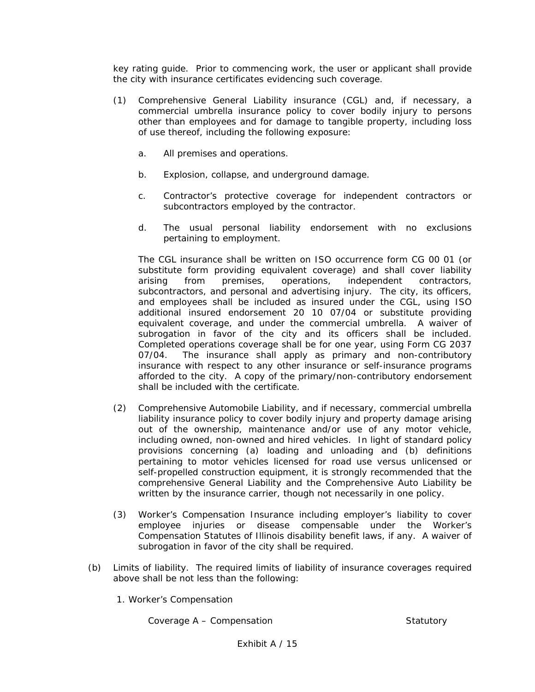key rating guide. Prior to commencing work, the user or applicant shall provide the city with insurance certificates evidencing such coverage.

- (1) Comprehensive General Liability insurance (CGL) and, if necessary, a commercial umbrella insurance policy to cover bodily injury to persons other than employees and for damage to tangible property, including loss of use thereof, including the following exposure:
	- a. All premises and operations.
	- b. Explosion, collapse, and underground damage.
	- c. Contractor's protective coverage for independent contractors or subcontractors employed by the contractor.
	- d. The usual personal liability endorsement with no exclusions pertaining to employment.

The CGL insurance shall be written on ISO occurrence form CG 00 01 (or substitute form providing equivalent coverage) and shall cover liability arising from premises, operations, independent contractors, subcontractors, and personal and advertising injury. The city, its officers, and employees shall be included as insured under the CGL, using ISO additional insured endorsement 20 10 07/04 or substitute providing equivalent coverage, and under the commercial umbrella. A waiver of subrogation in favor of the city and its officers shall be included. Completed operations coverage shall be for one year, using Form CG 2037 07/04. The insurance shall apply as primary and non-contributory insurance with respect to any other insurance or self-insurance programs afforded to the city. A copy of the primary/non-contributory endorsement shall be included with the certificate.

- (2) Comprehensive Automobile Liability, and if necessary, commercial umbrella liability insurance policy to cover bodily injury and property damage arising out of the ownership, maintenance and/or use of any motor vehicle, including owned, non-owned and hired vehicles. In light of standard policy provisions concerning (a) loading and unloading and (b) definitions pertaining to motor vehicles licensed for road use versus unlicensed or self-propelled construction equipment, it is strongly recommended that the comprehensive General Liability and the Comprehensive Auto Liability be written by the insurance carrier, though not necessarily in one policy.
- (3) Worker's Compensation Insurance including employer's liability to cover employee injuries or disease compensable under the Worker's Compensation Statutes of Illinois disability benefit laws, if any. A waiver of subrogation in favor of the city shall be required.
- (b) Limits of liability. The required limits of liability of insurance coverages required above shall be not less than the following:
	- 1. Worker's Compensation

Coverage A – Compensation Statutory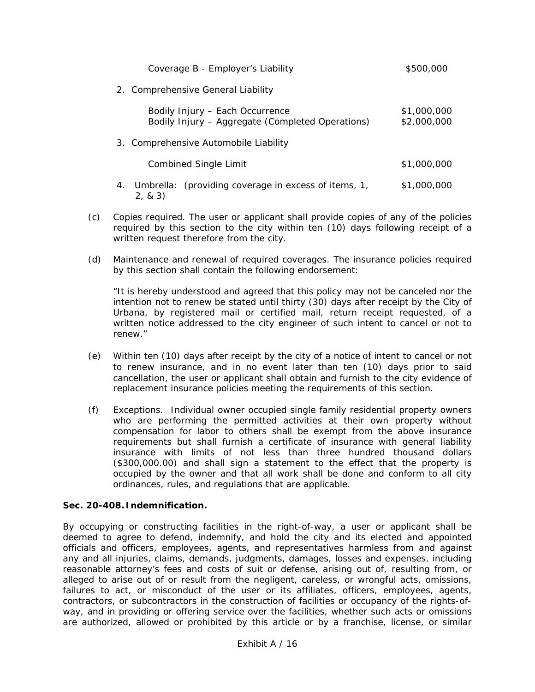| Coverage B - Employer's Liability                                                   | \$500,000                  |
|-------------------------------------------------------------------------------------|----------------------------|
| 2. Comprehensive General Liability                                                  |                            |
| Bodily Injury – Each Occurrence<br>Bodily Injury - Aggregate (Completed Operations) | \$1,000,000<br>\$2,000,000 |
| 3. Comprehensive Automobile Liability                                               |                            |
| Combined Single Limit                                                               | \$1,000,000                |
| Umbrella: (providing coverage in excess of items, 1,<br>4.<br>2, 8, 3)              | \$1,000,000                |

- (c) Copies required. The user or applicant shall provide copies of any of the policies required by this section to the city within ten (10) days following receipt of a written request therefore from the city.
- (d) Maintenance and renewal of required coverages. The insurance policies required by this section shall contain the following endorsement:

"It is hereby understood and agreed that this policy may not be canceled nor the intention not to renew be stated until thirty (30) days after receipt by the City of Urbana, by registered mail or certified mail, return receipt requested, of a written notice addressed to the city engineer of such intent to cancel or not to renew."

- (e) Within ten (10) days after receipt by the city of a notice of intent to cancel or not to renew insurance, and in no event later than ten (10) days prior to said cancellation, the user or applicant shall obtain and furnish to the city evidence of replacement insurance policies meeting the requirements of this section.
- (f) Exceptions. Individual owner occupied single family residential property owners who are performing the permitted activities at their own property without compensation for labor to others shall be exempt from the above insurance requirements but shall furnish a certificate of insurance with general liability insurance with limits of not less than three hundred thousand dollars (\$300,000.00) and shall sign a statement to the effect that the property is occupied by the owner and that all work shall be done and conform to all city ordinances, rules, and regulations that are applicable.

### **Sec. 20-408. Indemnification.**

By occupying or constructing facilities in the right-of-way, a user or applicant shall be deemed to agree to defend, indemnify, and hold the city and its elected and appointed officials and officers, employees, agents, and representatives harmless from and against any and all injuries, claims, demands, judgments, damages, losses and expenses, including reasonable attorney's fees and costs of suit or defense, arising out of, resulting from, or alleged to arise out of or result from the negligent, careless, or wrongful acts, omissions, failures to act, or misconduct of the user or its affiliates, officers, employees, agents, contractors, or subcontractors in the construction of facilities or occupancy of the rights-ofway, and in providing or offering service over the facilities, whether such acts or omissions are authorized, allowed or prohibited by this article or by a franchise, license, or similar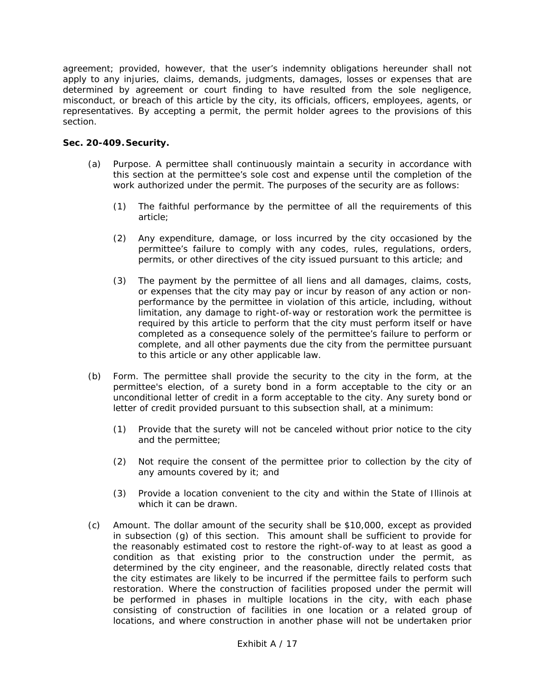agreement; provided, however, that the user's indemnity obligations hereunder shall not apply to any injuries, claims, demands, judgments, damages, losses or expenses that are determined by agreement or court finding to have resulted from the sole negligence, misconduct, or breach of this article by the city, its officials, officers, employees, agents, or representatives. By accepting a permit, the permit holder agrees to the provisions of this section.

# **Sec. 20-409.Security.**

- (a) Purpose. A permittee shall continuously maintain a security in accordance with this section at the permittee's sole cost and expense until the completion of the work authorized under the permit. The purposes of the security are as follows:
	- (1) The faithful performance by the permittee of all the requirements of this article;
	- (2) Any expenditure, damage, or loss incurred by the city occasioned by the permittee's failure to comply with any codes, rules, regulations, orders, permits, or other directives of the city issued pursuant to this article; and
	- (3) The payment by the permittee of all liens and all damages, claims, costs, or expenses that the city may pay or incur by reason of any action or nonperformance by the permittee in violation of this article, including, without limitation, any damage to right-of-way or restoration work the permittee is required by this article to perform that the city must perform itself or have completed as a consequence solely of the permittee's failure to perform or complete, and all other payments due the city from the permittee pursuant to this article or any other applicable law.
- (b) Form. The permittee shall provide the security to the city in the form, at the permittee's election, of a surety bond in a form acceptable to the city or an unconditional letter of credit in a form acceptable to the city. Any surety bond or letter of credit provided pursuant to this subsection shall, at a minimum:
	- (1) Provide that the surety will not be canceled without prior notice to the city and the permittee;
	- (2) Not require the consent of the permittee prior to collection by the city of any amounts covered by it; and
	- (3) Provide a location convenient to the city and within the State of Illinois at which it can be drawn.
- (c) Amount. The dollar amount of the security shall be \$10,000, except as provided in subsection (g) of this section. This amount shall be sufficient to provide for the reasonably estimated cost to restore the right-of-way to at least as good a condition as that existing prior to the construction under the permit, as determined by the city engineer, and the reasonable, directly related costs that the city estimates are likely to be incurred if the permittee fails to perform such restoration. Where the construction of facilities proposed under the permit will be performed in phases in multiple locations in the city, with each phase consisting of construction of facilities in one location or a related group of locations, and where construction in another phase will not be undertaken prior